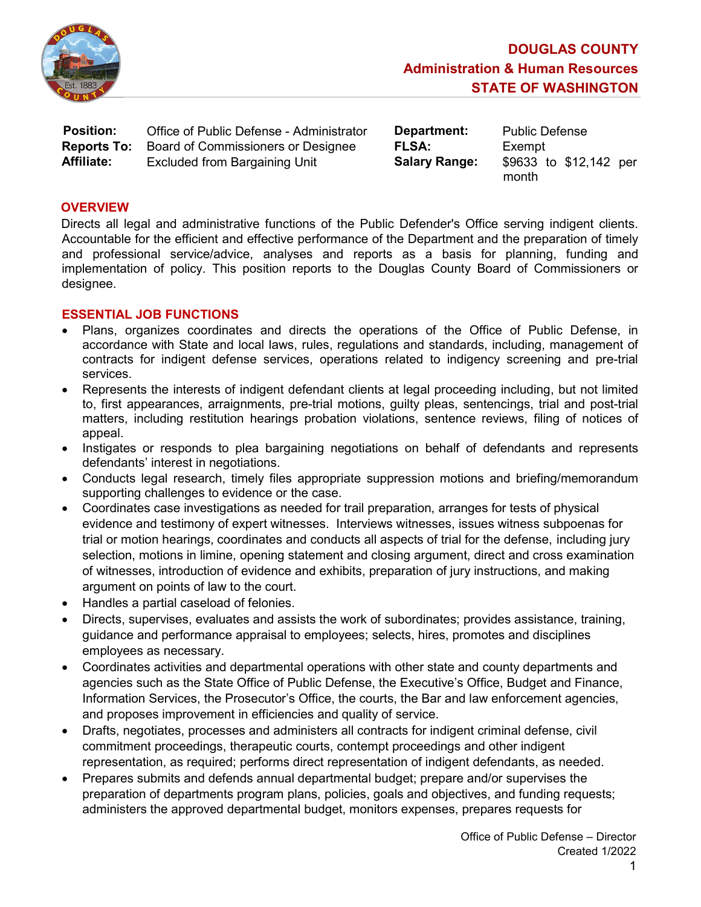

| <b>Position:</b>   | Office of Public Defense - Administrator | Department:          | <b>Public D</b> |
|--------------------|------------------------------------------|----------------------|-----------------|
| <b>Reports To:</b> | Board of Commissioners or Designee       | <b>FLSA:</b>         | Exempt          |
| <b>Affiliate:</b>  | <b>Excluded from Bargaining Unit</b>     | <b>Salary Range:</b> | \$9633 t        |

**Department:** Public Defense

**Salary Range:**  $$9633$  to  $$12,142$  per month

### **OVERVIEW**

Directs all legal and administrative functions of the Public Defender's Office serving indigent clients. Accountable for the efficient and effective performance of the Department and the preparation of timely and professional service/advice, analyses and reports as a basis for planning, funding and implementation of policy. This position reports to the Douglas County Board of Commissioners or designee.

## ESSENTIAL JOB FUNCTIONS

- Plans, organizes coordinates and directs the operations of the Office of Public Defense, in accordance with State and local laws, rules, regulations and standards, including, management of contracts for indigent defense services, operations related to indigency screening and pre-trial services.
- Represents the interests of indigent defendant clients at legal proceeding including, but not limited to, first appearances, arraignments, pre-trial motions, guilty pleas, sentencings, trial and post-trial matters, including restitution hearings probation violations, sentence reviews, filing of notices of appeal.
- Instigates or responds to plea bargaining negotiations on behalf of defendants and represents defendants' interest in negotiations.
- Conducts legal research, timely files appropriate suppression motions and briefing/memorandum supporting challenges to evidence or the case.
- Coordinates case investigations as needed for trail preparation, arranges for tests of physical evidence and testimony of expert witnesses. Interviews witnesses, issues witness subpoenas for trial or motion hearings, coordinates and conducts all aspects of trial for the defense, including jury selection, motions in limine, opening statement and closing argument, direct and cross examination of witnesses, introduction of evidence and exhibits, preparation of jury instructions, and making argument on points of law to the court.
- Handles a partial caseload of felonies.
- Directs, supervises, evaluates and assists the work of subordinates; provides assistance, training, guidance and performance appraisal to employees; selects, hires, promotes and disciplines employees as necessary.
- Coordinates activities and departmental operations with other state and county departments and agencies such as the State Office of Public Defense, the Executive's Office, Budget and Finance, Information Services, the Prosecutor's Office, the courts, the Bar and law enforcement agencies, and proposes improvement in efficiencies and quality of service.
- Drafts, negotiates, processes and administers all contracts for indigent criminal defense, civil commitment proceedings, therapeutic courts, contempt proceedings and other indigent representation, as required; performs direct representation of indigent defendants, as needed.
- Prepares submits and defends annual departmental budget; prepare and/or supervises the preparation of departments program plans, policies, goals and objectives, and funding requests; administers the approved departmental budget, monitors expenses, prepares requests for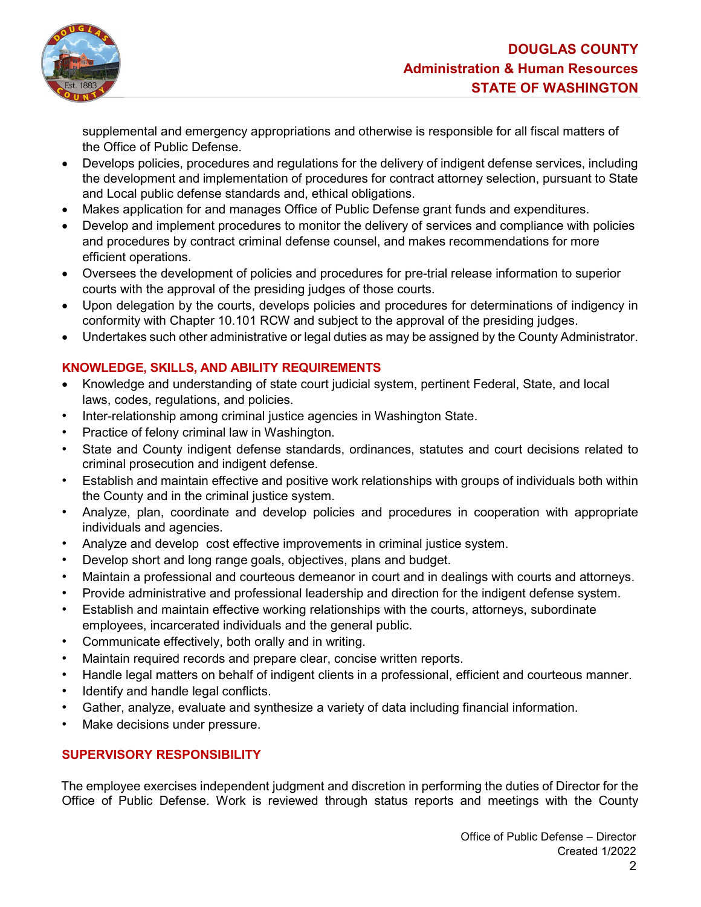

supplemental and emergency appropriations and otherwise is responsible for all fiscal matters of the Office of Public Defense.

- Develops policies, procedures and regulations for the delivery of indigent defense services, including the development and implementation of procedures for contract attorney selection, pursuant to State and Local public defense standards and, ethical obligations.
- Makes application for and manages Office of Public Defense grant funds and expenditures.
- Develop and implement procedures to monitor the delivery of services and compliance with policies and procedures by contract criminal defense counsel, and makes recommendations for more efficient operations.
- Oversees the development of policies and procedures for pre-trial release information to superior courts with the approval of the presiding judges of those courts.
- Upon delegation by the courts, develops policies and procedures for determinations of indigency in conformity with Chapter 10.101 RCW and subject to the approval of the presiding judges.
- Undertakes such other administrative or legal duties as may be assigned by the County Administrator.

# KNOWLEDGE, SKILLS, AND ABILITY REQUIREMENTS

- Knowledge and understanding of state court judicial system, pertinent Federal, State, and local laws, codes, regulations, and policies.
- Inter-relationship among criminal justice agencies in Washington State.
- Practice of felony criminal law in Washington.
- State and County indigent defense standards, ordinances, statutes and court decisions related to criminal prosecution and indigent defense.
- Establish and maintain effective and positive work relationships with groups of individuals both within the County and in the criminal justice system.
- Analyze, plan, coordinate and develop policies and procedures in cooperation with appropriate individuals and agencies.
- Analyze and develop cost effective improvements in criminal justice system.
- Develop short and long range goals, objectives, plans and budget.
- Maintain a professional and courteous demeanor in court and in dealings with courts and attorneys.
- Provide administrative and professional leadership and direction for the indigent defense system.
- Establish and maintain effective working relationships with the courts, attorneys, subordinate employees, incarcerated individuals and the general public.
- Communicate effectively, both orally and in writing.
- Maintain required records and prepare clear, concise written reports.
- Handle legal matters on behalf of indigent clients in a professional, efficient and courteous manner.
- Identify and handle legal conflicts.
- Gather, analyze, evaluate and synthesize a variety of data including financial information.
- Make decisions under pressure.

# SUPERVISORY RESPONSIBILITY

The employee exercises independent judgment and discretion in performing the duties of Director for the Office of Public Defense. Work is reviewed through status reports and meetings with the County